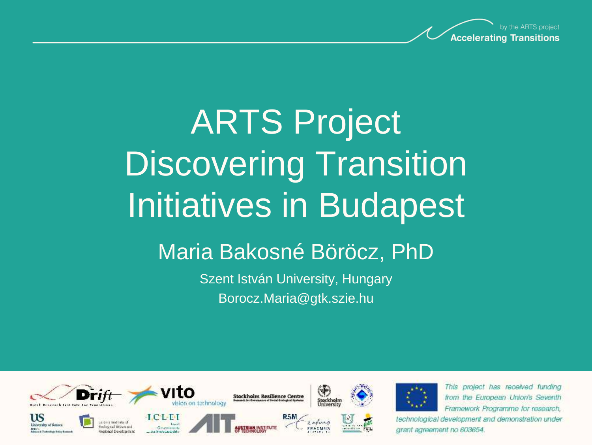# ARTS Project Discovering Transition Initiatives in Budapest

#### Maria Bakosné Böröcz, PhD

Szent István University, Hungary Borocz.Maria@gtk.szie.hu



This project has received funding from the European Union's Seventh Framework Programme for research,

technological development and demonstration under grant agreement no 603654.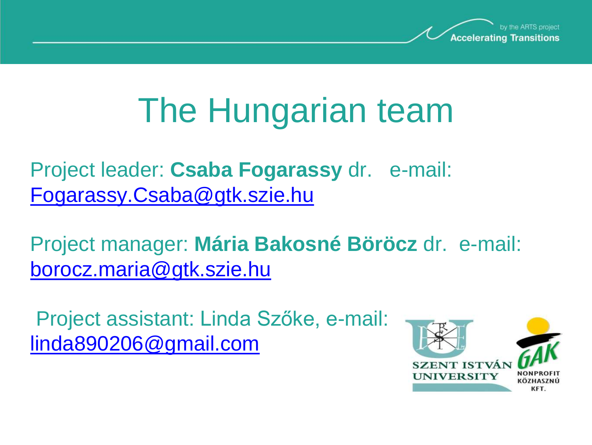# The Hungarian team

Project leader: **Csaba Fogarassy** dr. e-mail: [Fogarassy.Csaba@gtk.szie.hu](mailto:Fogarassy.Csaba@gtk.szie.hu)

Project manager: **Mária Bakosné Böröcz** dr. e-mail: [borocz.maria@gtk.szie.hu](mailto:borocz.maria@gtk.szie.hu)

Project assistant: Linda Szőke, e-mail: [linda890206@gmail.com](mailto:linda890206@gmail.com)

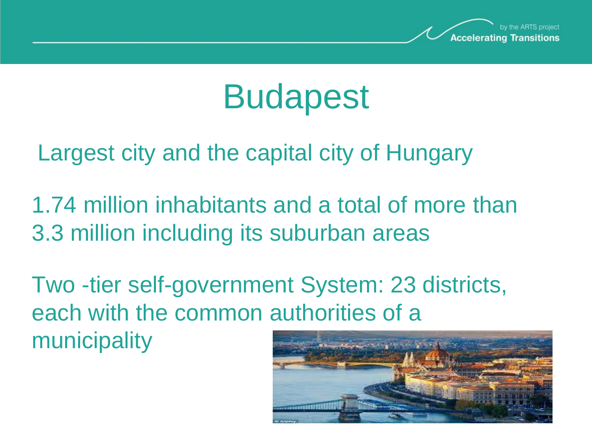

## Budapest

Largest city and the capital city of Hungary

1.74 million inhabitants and a total of more than 3.3 million including its suburban areas

Two -tier self-government System: 23 districts, each with the common authorities of a municipality

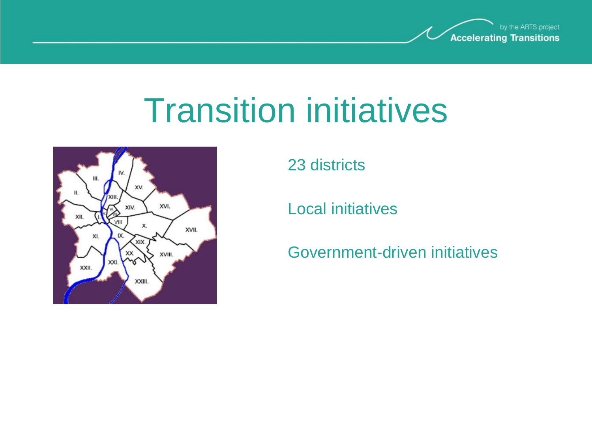

## Transition initiatives



23 districts

Local initiatives

Government-driven initiatives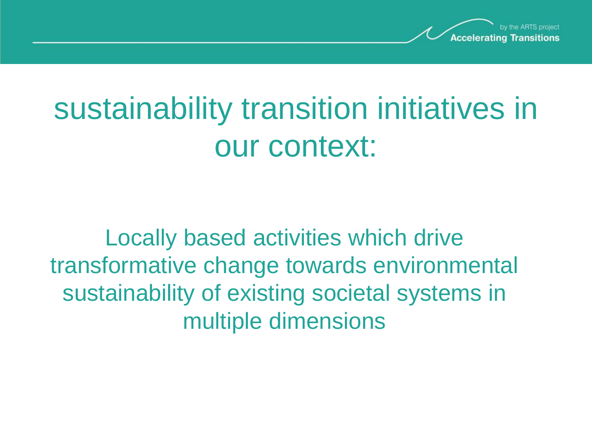## sustainability transition initiatives in our context:

Locally based activities which drive transformative change towards environmental sustainability of existing societal systems in multiple dimensions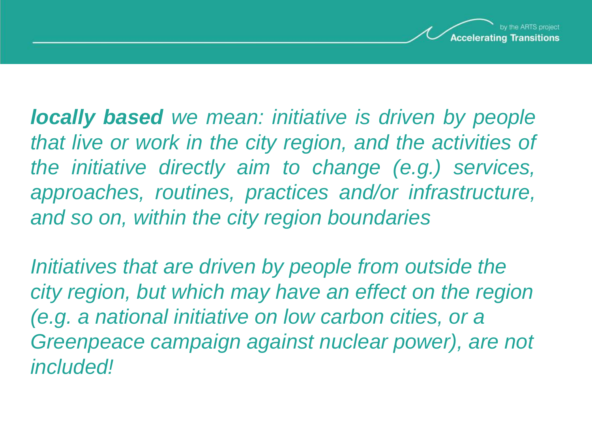*locally based we mean: initiative is driven by people that live or work in the city region, and the activities of the initiative directly aim to change (e.g.) services, approaches, routines, practices and/or infrastructure, and so on, within the city region boundaries*

*Initiatives that are driven by people from outside the city region, but which may have an effect on the region (e.g. a national initiative on low carbon cities, or a Greenpeace campaign against nuclear power), are not included!*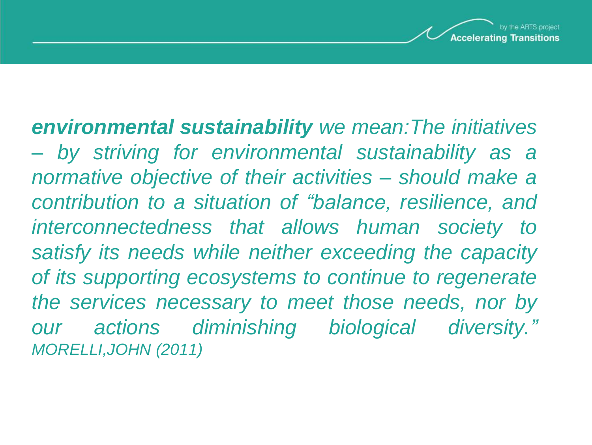*environmental sustainability we mean:The initiatives – by striving for environmental sustainability as a normative objective of their activities – should make a contribution to a situation of "balance, resilience, and interconnectedness that allows human society to satisfy its needs while neither exceeding the capacity of its supporting ecosystems to continue to regenerate the services necessary to meet those needs, nor by our actions diminishing biological diversity." MORELLI,JOHN (2011)*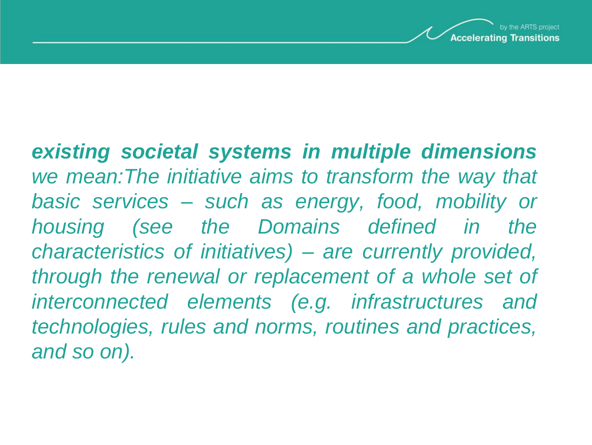#### *existing societal systems in multiple dimensions we mean:The initiative aims to transform the way that basic services – such as energy, food, mobility or housing (see the Domains defined in the characteristics of initiatives) – are currently provided, through the renewal or replacement of a whole set of interconnected elements (e.g. infrastructures and technologies, rules and norms, routines and practices, and so on).*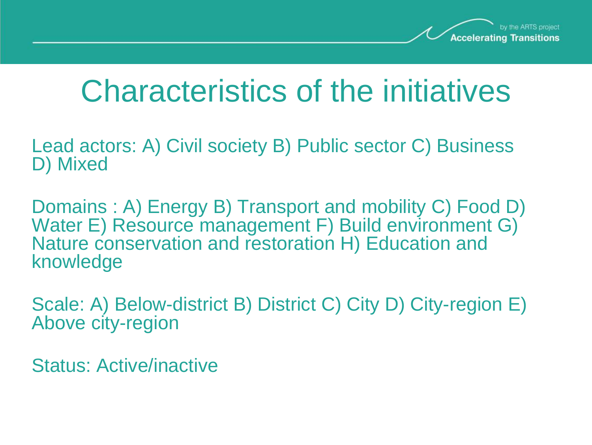### Characteristics of the initiatives

Lead actors: A) Civil society B) Public sector C) Business D) Mixed

Domains : A) Energy B) Transport and mobility C) Food D) Water E) Resource management F) Build environment G) Nature conservation and restoration H) Education and knowledge

Scale: A) Below-district B) District C) City D) City-region E) Above city-region

Status: Active/inactive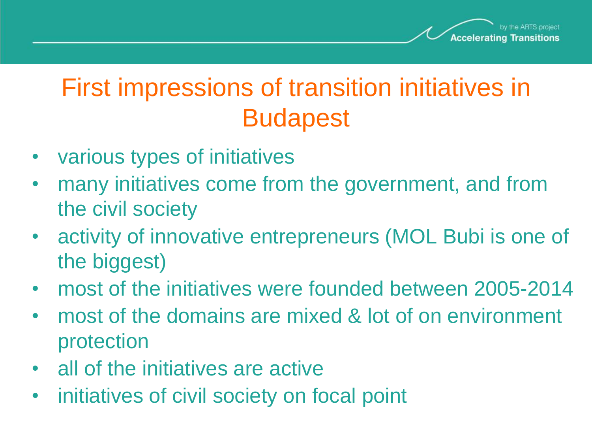### First impressions of transition initiatives in Budapest

- various types of initiatives
- many initiatives come from the government, and from the civil society
- activity of innovative entrepreneurs (MOL Bubi is one of the biggest)
- most of the initiatives were founded between 2005-2014
- most of the domains are mixed & lot of on environment protection
- all of the initiatives are active
- initiatives of civil society on focal point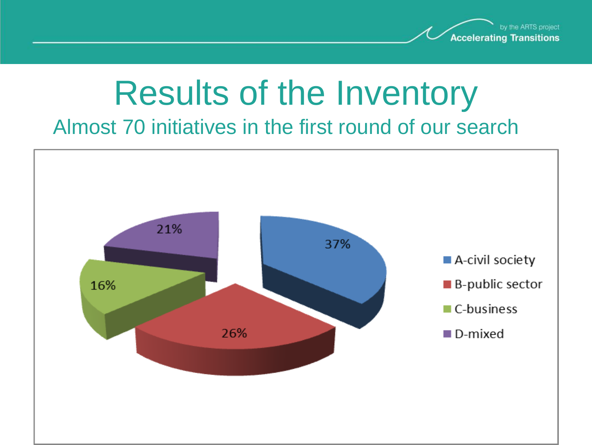### Results of the Inventory Almost 70 initiatives in the first round of our search

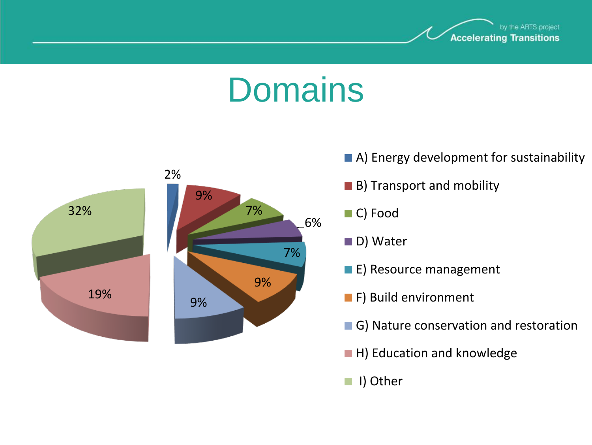

## Domains



- A) Energy development for sustainability
- B) Transport and mobility
- C) Food
- D) Water
- **E)** Resource management
- **F)** Build environment
- G) Nature conservation and restoration
- **H**) Education and knowledge
- I) Otherr.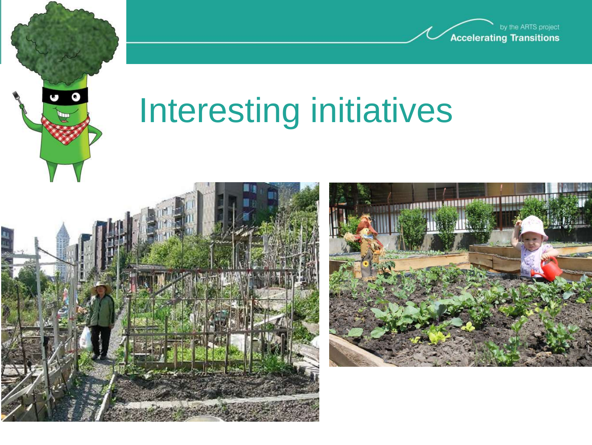

## Interesting initiatives



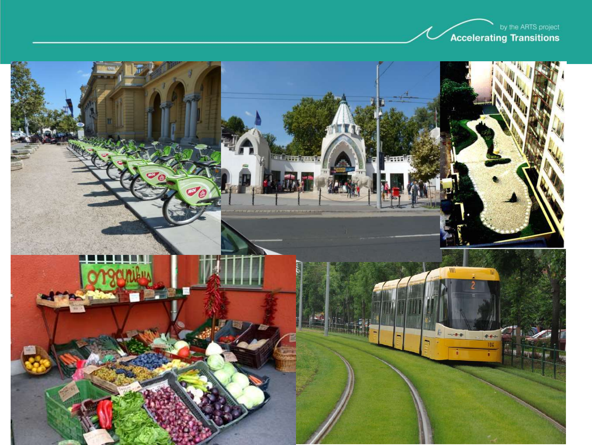### by the ARTS project<br>**Accelerating Transitions**